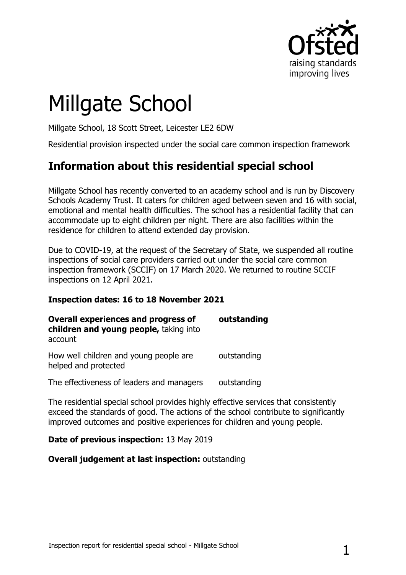

# Millgate School

Millgate School, 18 Scott Street, Leicester LE2 6DW

Residential provision inspected under the social care common inspection framework

## **Information about this residential special school**

Millgate School has recently converted to an academy school and is run by Discovery Schools Academy Trust. It caters for children aged between seven and 16 with social, emotional and mental health difficulties. The school has a residential facility that can accommodate up to eight children per night. There are also facilities within the residence for children to attend extended day provision.

Due to COVID-19, at the request of the Secretary of State, we suspended all routine inspections of social care providers carried out under the social care common inspection framework (SCCIF) on 17 March 2020. We returned to routine SCCIF inspections on 12 April 2021.

#### **Inspection dates: 16 to 18 November 2021**

| <b>Overall experiences and progress of</b><br>children and young people, taking into<br>account | outstanding |
|-------------------------------------------------------------------------------------------------|-------------|
| How well children and young people are<br>helped and protected                                  | outstanding |
| The effectiveness of leaders and managers                                                       | outstanding |
| .                                                                                               |             |

The residential special school provides highly effective services that consistently exceed the standards of good. The actions of the school contribute to significantly improved outcomes and positive experiences for children and young people.

#### **Date of previous inspection:** 13 May 2019

#### **Overall judgement at last inspection:** outstanding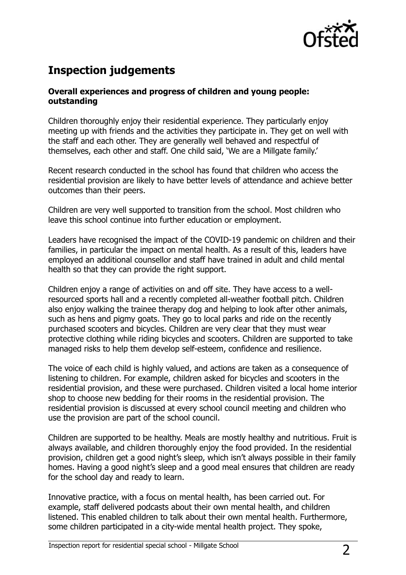

## **Inspection judgements**

#### **Overall experiences and progress of children and young people: outstanding**

Children thoroughly enjoy their residential experience. They particularly enjoy meeting up with friends and the activities they participate in. They get on well with the staff and each other. They are generally well behaved and respectful of themselves, each other and staff. One child said, 'We are a Millgate family.'

Recent research conducted in the school has found that children who access the residential provision are likely to have better levels of attendance and achieve better outcomes than their peers.

Children are very well supported to transition from the school. Most children who leave this school continue into further education or employment.

Leaders have recognised the impact of the COVID-19 pandemic on children and their families, in particular the impact on mental health. As a result of this, leaders have employed an additional counsellor and staff have trained in adult and child mental health so that they can provide the right support.

Children enjoy a range of activities on and off site. They have access to a wellresourced sports hall and a recently completed all-weather football pitch. Children also enjoy walking the trainee therapy dog and helping to look after other animals, such as hens and pigmy goats. They go to local parks and ride on the recently purchased scooters and bicycles. Children are very clear that they must wear protective clothing while riding bicycles and scooters. Children are supported to take managed risks to help them develop self-esteem, confidence and resilience.

The voice of each child is highly valued, and actions are taken as a consequence of listening to children. For example, children asked for bicycles and scooters in the residential provision, and these were purchased. Children visited a local home interior shop to choose new bedding for their rooms in the residential provision. The residential provision is discussed at every school council meeting and children who use the provision are part of the school council.

Children are supported to be healthy. Meals are mostly healthy and nutritious. Fruit is always available, and children thoroughly enjoy the food provided. In the residential provision, children get a good night's sleep, which isn't always possible in their family homes. Having a good night's sleep and a good meal ensures that children are ready for the school day and ready to learn.

Innovative practice, with a focus on mental health, has been carried out. For example, staff delivered podcasts about their own mental health, and children listened. This enabled children to talk about their own mental health. Furthermore, some children participated in a city-wide mental health project. They spoke,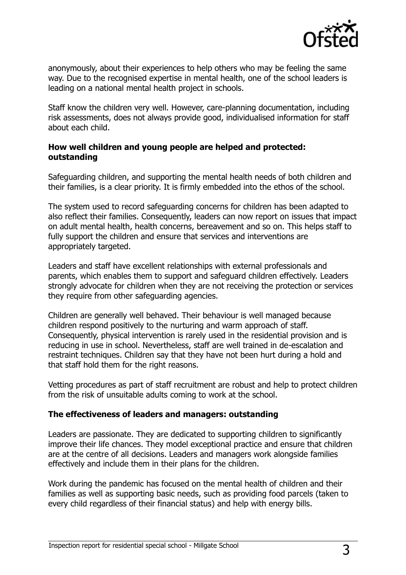

anonymously, about their experiences to help others who may be feeling the same way. Due to the recognised expertise in mental health, one of the school leaders is leading on a national mental health project in schools.

Staff know the children very well. However, care-planning documentation, including risk assessments, does not always provide good, individualised information for staff about each child.

#### **How well children and young people are helped and protected: outstanding**

Safeguarding children, and supporting the mental health needs of both children and their families, is a clear priority. It is firmly embedded into the ethos of the school.

The system used to record safeguarding concerns for children has been adapted to also reflect their families. Consequently, leaders can now report on issues that impact on adult mental health, health concerns, bereavement and so on. This helps staff to fully support the children and ensure that services and interventions are appropriately targeted.

Leaders and staff have excellent relationships with external professionals and parents, which enables them to support and safeguard children effectively. Leaders strongly advocate for children when they are not receiving the protection or services they require from other safeguarding agencies.

Children are generally well behaved. Their behaviour is well managed because children respond positively to the nurturing and warm approach of staff. Consequently, physical intervention is rarely used in the residential provision and is reducing in use in school. Nevertheless, staff are well trained in de-escalation and restraint techniques. Children say that they have not been hurt during a hold and that staff hold them for the right reasons.

Vetting procedures as part of staff recruitment are robust and help to protect children from the risk of unsuitable adults coming to work at the school.

#### **The effectiveness of leaders and managers: outstanding**

Leaders are passionate. They are dedicated to supporting children to significantly improve their life chances. They model exceptional practice and ensure that children are at the centre of all decisions. Leaders and managers work alongside families effectively and include them in their plans for the children.

Work during the pandemic has focused on the mental health of children and their families as well as supporting basic needs, such as providing food parcels (taken to every child regardless of their financial status) and help with energy bills.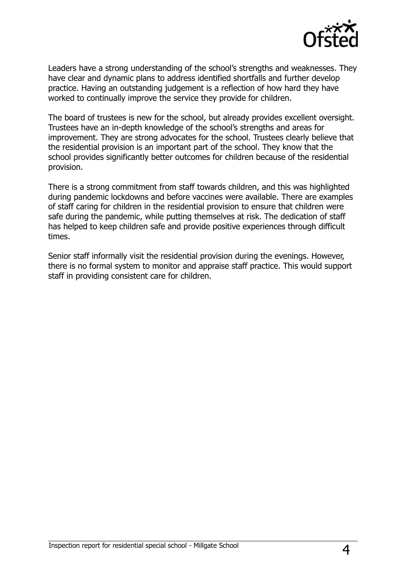

Leaders have a strong understanding of the school's strengths and weaknesses. They have clear and dynamic plans to address identified shortfalls and further develop practice. Having an outstanding judgement is a reflection of how hard they have worked to continually improve the service they provide for children.

The board of trustees is new for the school, but already provides excellent oversight. Trustees have an in-depth knowledge of the school's strengths and areas for improvement. They are strong advocates for the school. Trustees clearly believe that the residential provision is an important part of the school. They know that the school provides significantly better outcomes for children because of the residential provision.

There is a strong commitment from staff towards children, and this was highlighted during pandemic lockdowns and before vaccines were available. There are examples of staff caring for children in the residential provision to ensure that children were safe during the pandemic, while putting themselves at risk. The dedication of staff has helped to keep children safe and provide positive experiences through difficult times.

Senior staff informally visit the residential provision during the evenings. However, there is no formal system to monitor and appraise staff practice. This would support staff in providing consistent care for children.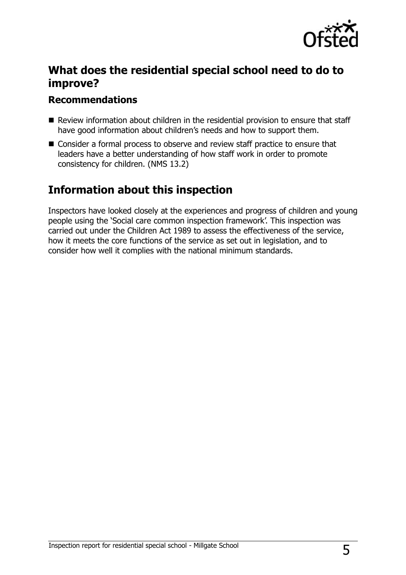

## **What does the residential special school need to do to improve?**

### **Recommendations**

- Review information about children in the residential provision to ensure that staff have good information about children's needs and how to support them.
- Consider a formal process to observe and review staff practice to ensure that leaders have a better understanding of how staff work in order to promote consistency for children. (NMS 13.2)

## **Information about this inspection**

Inspectors have looked closely at the experiences and progress of children and young people using the 'Social care common inspection framework'. This inspection was carried out under the Children Act 1989 to assess the effectiveness of the service, how it meets the core functions of the service as set out in legislation, and to consider how well it complies with the national minimum standards.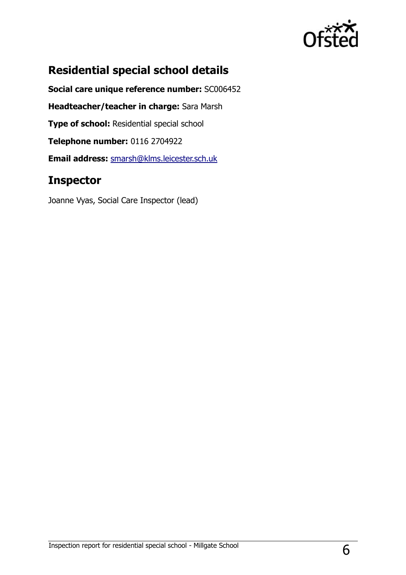

## **Residential special school details**

**Social care unique reference number:** SC006452 **Headteacher/teacher in charge:** Sara Marsh **Type of school: Residential special school Telephone number:** 0116 2704922 **Email address:** [smarsh@klms.leicester.sch.uk](mailto:smarsh@klms.leicester.sch.uk)

## **Inspector**

Joanne Vyas, Social Care Inspector (lead)